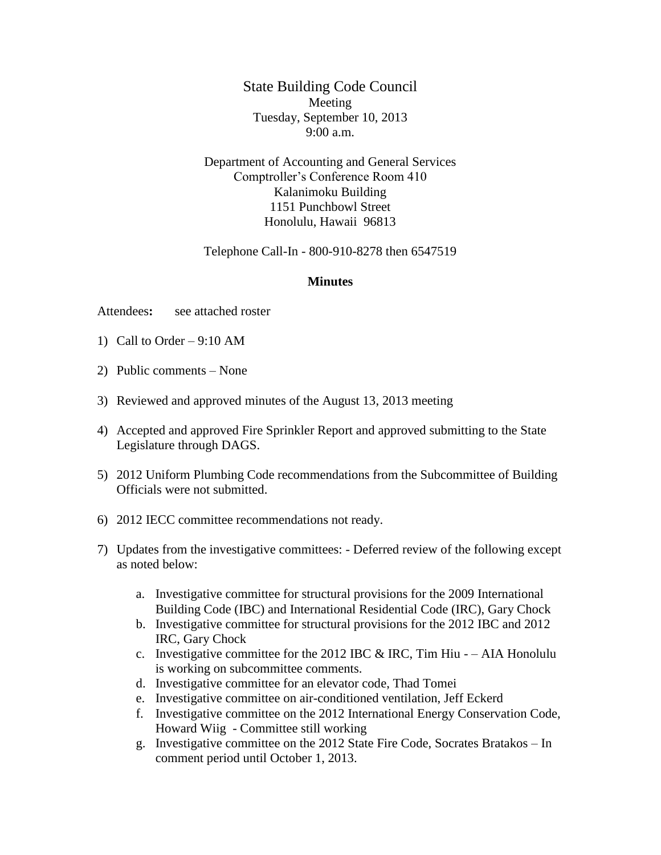State Building Code Council Meeting Tuesday, September 10, 2013 9:00 a.m.

Department of Accounting and General Services Comptroller's Conference Room 410 Kalanimoku Building 1151 Punchbowl Street Honolulu, Hawaii 96813

Telephone Call-In - 800-910-8278 then 6547519

## **Minutes**

Attendees**:** see attached roster

- 1) Call to Order 9:10 AM
- 2) Public comments None
- 3) Reviewed and approved minutes of the August 13, 2013 meeting
- 4) Accepted and approved Fire Sprinkler Report and approved submitting to the State Legislature through DAGS.
- 5) 2012 Uniform Plumbing Code recommendations from the Subcommittee of Building Officials were not submitted.
- 6) 2012 IECC committee recommendations not ready.
- 7) Updates from the investigative committees: Deferred review of the following except as noted below:
	- a. Investigative committee for structural provisions for the 2009 International Building Code (IBC) and International Residential Code (IRC), Gary Chock
	- b. Investigative committee for structural provisions for the 2012 IBC and 2012 IRC, Gary Chock
	- c. Investigative committee for the 2012 IBC  $&$  IRC, Tim Hiu – AIA Honolulu is working on subcommittee comments.
	- d. Investigative committee for an elevator code, Thad Tomei
	- e. Investigative committee on air-conditioned ventilation, Jeff Eckerd
	- f. Investigative committee on the 2012 International Energy Conservation Code, Howard Wiig - Committee still working
	- g. Investigative committee on the 2012 State Fire Code, Socrates Bratakos In comment period until October 1, 2013.